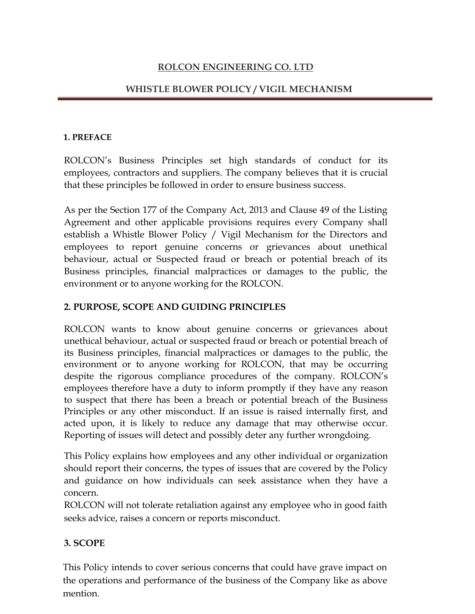# ROLCON ENGINEERING CO. LTD

# WHISTLE BLOWER POLICY / VIGIL MECHANISM

#### 1. PREFACE

ROLCON's Business Principles set high standards of conduct for its employees, contractors and suppliers. The company believes that it is crucial that these principles be followed in order to ensure business success.

As per the Section 177 of the Company Act, 2013 and Clause 49 of the Listing Agreement and other applicable provisions requires every Company shall establish a Whistle Blower Policy / Vigil Mechanism for the Directors and employees to report genuine concerns or grievances about unethical behaviour, actual or Suspected fraud or breach or potential breach of its Business principles, financial malpractices or damages to the public, the environment or to anyone working for the ROLCON.

# 2. PURPOSE, SCOPE AND GUIDING PRINCIPLES

ROLCON wants to know about genuine concerns or grievances about unethical behaviour, actual or suspected fraud or breach or potential breach of its Business principles, financial malpractices or damages to the public, the environment or to anyone working for ROLCON, that may be occurring despite the rigorous compliance procedures of the company. ROLCON's employees therefore have a duty to inform promptly if they have any reason to suspect that there has been a breach or potential breach of the Business Principles or any other misconduct. If an issue is raised internally first, and acted upon, it is likely to reduce any damage that may otherwise occur. Reporting of issues will detect and possibly deter any further wrongdoing.

This Policy explains how employees and any other individual or organization should report their concerns, the types of issues that are covered by the Policy and guidance on how individuals can seek assistance when they have a concern.

ROLCON will not tolerate retaliation against any employee who in good faith seeks advice, raises a concern or reports misconduct.

### 3. SCOPE

This Policy intends to cover serious concerns that could have grave impact on the operations and performance of the business of the Company like as above mention.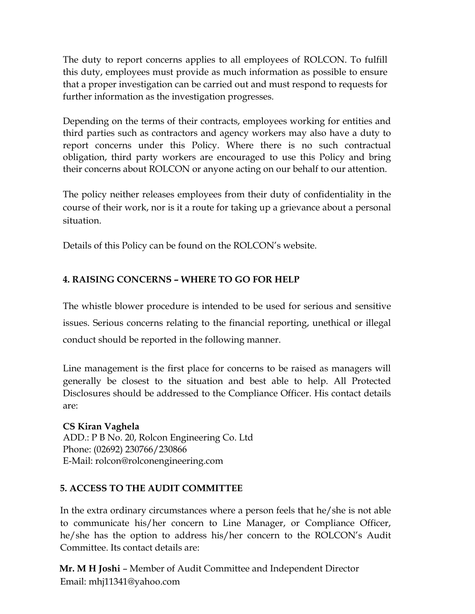The duty to report concerns applies to all employees of ROLCON. To fulfill this duty, employees must provide as much information as possible to ensure that a proper investigation can be carried out and must respond to requests for further information as the investigation progresses.

Depending on the terms of their contracts, employees working for entities and third parties such as contractors and agency workers may also have a duty to report concerns under this Policy. Where there is no such contractual obligation, third party workers are encouraged to use this Policy and bring their concerns about ROLCON or anyone acting on our behalf to our attention.

The policy neither releases employees from their duty of confidentiality in the course of their work, nor is it a route for taking up a grievance about a personal situation.

Details of this Policy can be found on the ROLCON's website.

# 4. RAISING CONCERNS – WHERE TO GO FOR HELP

The whistle blower procedure is intended to be used for serious and sensitive issues. Serious concerns relating to the financial reporting, unethical or illegal conduct should be reported in the following manner.

Line management is the first place for concerns to be raised as managers will generally be closest to the situation and best able to help. All Protected Disclosures should be addressed to the Compliance Officer. His contact details are:

CS Kiran Vaghela ADD.: P B No. 20, Rolcon Engineering Co. Ltd Phone: (02692) 230766/230866 E-Mail: rolcon@rolconengineering.com

# 5. ACCESS TO THE AUDIT COMMITTEE

In the extra ordinary circumstances where a person feels that he/she is not able to communicate his/her concern to Line Manager, or Compliance Officer, he/she has the option to address his/her concern to the ROLCON's Audit Committee. Its contact details are:

Mr. M H Joshi – Member of Audit Committee and Independent Director Email: mhj11341@yahoo.com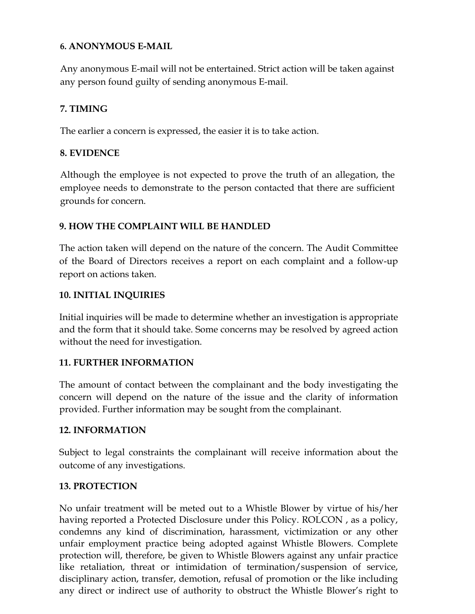## 6. ANONYMOUS E-MAIL

Any anonymous E-mail will not be entertained. Strict action will be taken against any person found guilty of sending anonymous E-mail.

# 7. TIMING

The earlier a concern is expressed, the easier it is to take action.

## 8. EVIDENCE

Although the employee is not expected to prove the truth of an allegation, the employee needs to demonstrate to the person contacted that there are sufficient grounds for concern.

## 9. HOW THE COMPLAINT WILL BE HANDLED

The action taken will depend on the nature of the concern. The Audit Committee of the Board of Directors receives a report on each complaint and a follow-up report on actions taken.

### 10. INITIAL INQUIRIES

Initial inquiries will be made to determine whether an investigation is appropriate and the form that it should take. Some concerns may be resolved by agreed action without the need for investigation.

### 11. FURTHER INFORMATION

The amount of contact between the complainant and the body investigating the concern will depend on the nature of the issue and the clarity of information provided. Further information may be sought from the complainant.

### 12. INFORMATION

Subject to legal constraints the complainant will receive information about the outcome of any investigations.

### 13. PROTECTION

No unfair treatment will be meted out to a Whistle Blower by virtue of his/her having reported a Protected Disclosure under this Policy. ROLCON , as a policy, condemns any kind of discrimination, harassment, victimization or any other unfair employment practice being adopted against Whistle Blowers. Complete protection will, therefore, be given to Whistle Blowers against any unfair practice like retaliation, threat or intimidation of termination/suspension of service, disciplinary action, transfer, demotion, refusal of promotion or the like including any direct or indirect use of authority to obstruct the Whistle Blower's right to